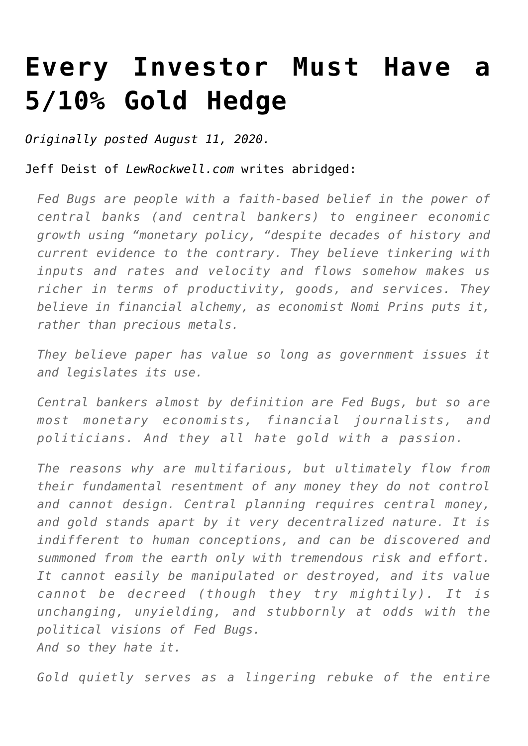## **[Every Investor Must Have a](https://www.youngsworldmoneyforecast.com/every-investor-must-have-a-5-10-gold-hedge/) [5/10% Gold Hedge](https://www.youngsworldmoneyforecast.com/every-investor-must-have-a-5-10-gold-hedge/)**

*Originally posted August 11, 2020.*

Jeff Deist of *LewRockwell.com* writes abridged:

*Fed Bugs are people with a faith-based belief in the power of central banks (and central bankers) to engineer economic growth using "monetary policy, "despite decades of history and current evidence to the contrary. They believe tinkering with inputs and rates and velocity and flows somehow makes us richer in terms of productivity, goods, and services. They believe in financial alchemy, as economist Nomi Prins puts it, rather than precious metals.*

*They believe paper has value so long as government issues it and legislates its use.*

*Central bankers almost by definition are Fed Bugs, but so are most monetary economists, financial journalists, and politicians. And they all hate gold with a passion.*

*The reasons why are multifarious, but ultimately flow from their fundamental resentment of any money they do not control and cannot design. Central planning requires central money, and gold stands apart by it very decentralized nature. It is indifferent to human conceptions, and can be discovered and summoned from the earth only with tremendous risk and effort. It cannot easily be manipulated or destroyed, and its value cannot be decreed (though they try mightily). It is unchanging, unyielding, and stubbornly at odds with the political visions of Fed Bugs. And so they hate it.*

*Gold quietly serves as a lingering rebuke of the entire*